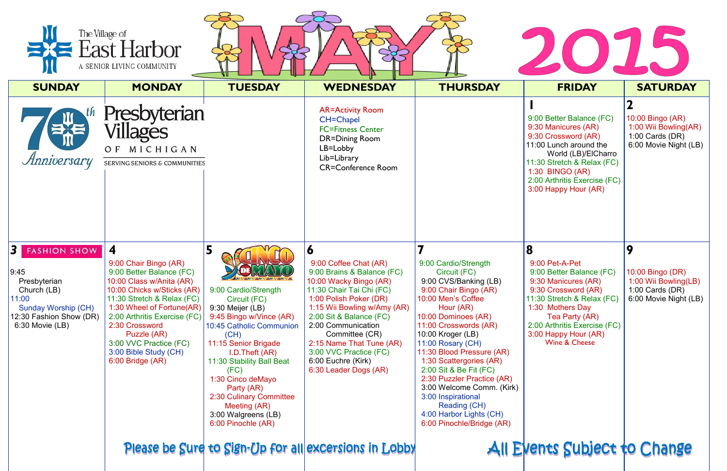| The Village of<br>$\equiv$ East Harbor<br>A SENIOR LIVING COMMUNITY                                                                                 |                                                                                                                                                                                                                                                                                                                                           |                                                                                                                                                                                                                                                                                                                                                                                                                                                                                                                                                                                     |                                                                                                                                                                                                                                                                                                                                                 |                                                                                                                                                                                                                                                                                                                                                                                                                                                                    |                                                                                                                                                                                                                                            |                                                                                               |  |  |  |
|-----------------------------------------------------------------------------------------------------------------------------------------------------|-------------------------------------------------------------------------------------------------------------------------------------------------------------------------------------------------------------------------------------------------------------------------------------------------------------------------------------------|-------------------------------------------------------------------------------------------------------------------------------------------------------------------------------------------------------------------------------------------------------------------------------------------------------------------------------------------------------------------------------------------------------------------------------------------------------------------------------------------------------------------------------------------------------------------------------------|-------------------------------------------------------------------------------------------------------------------------------------------------------------------------------------------------------------------------------------------------------------------------------------------------------------------------------------------------|--------------------------------------------------------------------------------------------------------------------------------------------------------------------------------------------------------------------------------------------------------------------------------------------------------------------------------------------------------------------------------------------------------------------------------------------------------------------|--------------------------------------------------------------------------------------------------------------------------------------------------------------------------------------------------------------------------------------------|-----------------------------------------------------------------------------------------------|--|--|--|
| <b>SUNDAY</b>                                                                                                                                       | <b>MONDAY</b>                                                                                                                                                                                                                                                                                                                             | <b>TUESDAY</b>                                                                                                                                                                                                                                                                                                                                                                                                                                                                                                                                                                      | <b>WEDNESDAY</b>                                                                                                                                                                                                                                                                                                                                | <b>THURSDAY</b>                                                                                                                                                                                                                                                                                                                                                                                                                                                    | <b>FRIDAY</b>                                                                                                                                                                                                                              | <b>SATURDAY</b>                                                                               |  |  |  |
| Anniversary                                                                                                                                         | Presbyterian<br>Villages<br>OF MICHIGAN<br>SERVING SENIORS & COMMUNITIES                                                                                                                                                                                                                                                                  |                                                                                                                                                                                                                                                                                                                                                                                                                                                                                                                                                                                     | <b>AR=Activity Room</b><br><b>CH=Chapel</b><br><b>FC=Fitness Center</b><br><b>DR=Dining Room</b><br>LB=Lobby<br>Lib=Library<br><b>CR=Conference Room</b>                                                                                                                                                                                        |                                                                                                                                                                                                                                                                                                                                                                                                                                                                    | 9:00 Better Balance (FC)<br>9:30 Manicures (AR)<br>9:30 Crossword (AR)<br>11:00 Lunch around the<br>World (LB)/ElCharro<br>11:30 Stretch & Relax (FC)<br>1:30 BINGO (AR)<br>2:00 Arthritis Exercise (FC)<br>3:00 Happy Hour (AR)           | 10:00 Bingo (AR)<br>1:00 Wii Bowling(AR)<br>1:00 Cards $(DR)$<br>6:00 Movie Night (LB)        |  |  |  |
| <b>3</b> FASHION SHOW<br>9:45<br>Presbyterian<br>Church (LB)<br>11:00<br><b>Sunday Worship (CH)</b><br>12:30 Fashion Show (DR)<br>$6:30$ Movie (LB) | $\overline{\mathbf{4}}$<br>9:00 Chair Bingo (AR)<br>9:00 Better Balance (FC)<br>10:00 Class w/Anita (AR)<br>10:00 Chicks w/Sticks (AR)<br>11:30 Stretch & Relax (FC)<br>1:30 Wheel of Fortune(AR)<br>2:00 Arthritis Exercise (FC)<br>2:30 Crossword<br>Puzzle (AR)<br>3:00 VVC Practice (FC)<br>3:00 Bible Study (CH)<br>6:00 Bridge (AR) | 5<br><b>ANTIQUE CARRIED AND A VIEW AND A VIEW OF A VIEW AND A VIEW AND A VIEW OF A VIEW OF A VIEW OF A VIEW OF A VIEW OF A VIEW OF A VIEW OF A VIEW OF A VIEW OF A VIEW OF A VIEW OF A VIEW OF A VIEW OF A VIEW OF A VIEW OF A VIEW O</b><br>9:00 Cardio/Strength<br>Circuit (FC)<br>9:30 Meijer (LB)<br>9:45 Bingo w/Vince (AR)<br>10:45 Catholic Communion<br>(CH)<br>11:15 Senior Brigade<br>$I.D.$ Theft $(AR)$<br>11:30 Stability Ball Beat<br>(FC)<br>1:30 Cinco deMayo<br>Party (AR)<br>2:30 Culinary Committee<br>Meeting (AR)<br>3:00 Walgreens (LB)<br>6:00 Pinochle (AR) | O<br>9:00 Coffee Chat (AR)<br>9:00 Brains & Balance (FC)<br>10:00 Wacky Bingo (AR)<br>11:30 Chair Tai Chi (FC)<br>1:00 Polish Poker (DR)<br>1:15 Wii Bowling w/Amy (AR)<br>2:00 Sit & Balance (FC)<br>2:00 Communication<br>Committee (CR)<br>2:15 Name That Tune (AR)<br>3:00 VVC Practice (FC)<br>6:00 Euchre (Kirk)<br>6:30 Leader Dogs (AR) | 9:00 Cardio/Strength<br>Circuit (FC)<br>9:00 CVS/Banking (LB)<br>9:00 Chair Bingo (AR)<br>10:00 Men's Coffee<br>Hour (AR)<br>10:00 Dominoes (AR)<br>11:00 Crosswords (AR)<br>10:00 Kroger $(LB)$<br>11:00 Rosary $(CH)$<br>11:30 Blood Pressure (AR)<br>1:30 Scattergories (AR)<br>2:00 Sit & Be Fit (FC)<br>2:30 Puzzler Practice (AR)<br>3:00 Welcome Comm. (Kirk)<br>3:00 Inspirational<br>Reading (CH)<br>4:00 Harbor Lights (CH)<br>6:00 Pinochle/Bridge (AR) | 8<br>9:00 Pet-A-Pet<br>9:00 Better Balance (FC)<br>9:30 Manicures (AR)<br>9:30 Crossword (AR)<br>11:30 Stretch & Relax (FC)<br>1:30 Mothers Day<br>Tea Party (AR)<br>2:00 Arthritis Exercise (FC)<br>3:00 Happy Hour (AR)<br>Wine & Cheese | 9<br>$10:00$ Bingo (DR)<br>1:00 Wii Bowling(LB)<br>1:00 Cards $(DR)$<br>6:00 Movie Night (LB) |  |  |  |
|                                                                                                                                                     |                                                                                                                                                                                                                                                                                                                                           |                                                                                                                                                                                                                                                                                                                                                                                                                                                                                                                                                                                     | Please be Sure to Sign-Up for all excersions in Lobby                                                                                                                                                                                                                                                                                           |                                                                                                                                                                                                                                                                                                                                                                                                                                                                    | All Events Subject to Change                                                                                                                                                                                                               |                                                                                               |  |  |  |